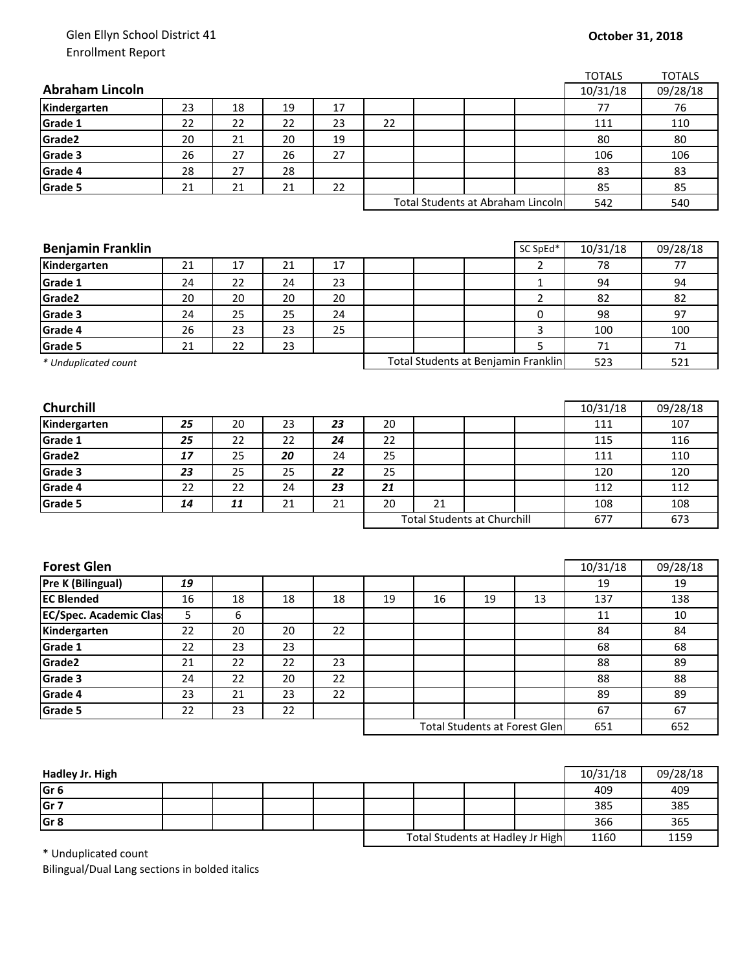## Glen Ellyn School District 41 Enrollment Report

| <b>Abraham Lincoln</b><br>10/31/18<br>Kindergarten<br>23<br>18<br>19<br>17<br>76<br>77<br>22<br>22<br>Grade 1<br>22<br>23<br>22<br>111<br>110<br>20<br>Grade2<br>21<br>19<br>80<br>80<br>20<br>Grade 3<br>27<br>26<br>26<br>27<br>106<br>106<br>Grade 4<br>27<br>28<br>28<br>83<br>83<br>Grade 5<br>21<br>22<br>85<br>21<br>21<br>85<br>Total Students at Abraham Lincoln<br>542<br>540<br>SC SpEd*<br><b>Benjamin Franklin</b><br>10/31/18<br>21<br>17<br>Kindergarten<br>21<br>17<br>78<br>77<br>$\overline{2}$<br>Grade 1<br>24<br>22<br>24<br>23<br>$\mathbf{1}$<br>94<br>94<br>Grade2<br>$\overline{2}$<br>20<br>20<br>20<br>82<br>82<br>20<br>Grade 3<br>25<br>25<br>24<br>24<br>0<br>98<br>97<br>3<br>Grade 4<br>23<br>23<br>26<br>25<br>100<br>100<br>5<br>Grade 5<br>22<br>23<br>71<br>21<br>71<br>Total Students at Benjamin Franklin<br>521<br>523<br>* Unduplicated count<br><b>Churchill</b><br>10/31/18<br>Kindergarten<br>20<br>23<br>25<br>23<br>20<br>111<br>107<br>Grade 1<br>22<br>22<br>24<br>22<br>115<br>116<br>25<br>Grade2<br>25<br>20<br>24<br>25<br>111<br>17<br>110<br>Grade 3<br>25<br>25<br>23<br>22<br>25<br>120<br>120<br>Grade 4<br>22<br>24<br>112<br>112<br>22<br>23<br>21<br>Grade 5<br>11<br>21<br>20<br>21<br>108<br>14<br>21<br>108<br><b>Total Students at Churchill</b><br>677<br>673<br><b>Forest Glen</b><br>$10/31/\overline{18}$<br>09/28/18<br>Pre K (Bilingual)<br>19<br>19<br>19<br><b>EC Blended</b><br>18<br>18<br>13<br>16<br>18<br>19<br>16<br>19<br>137<br>138<br><b>EC/Spec. Academic Clas</b><br>5<br>6<br>11<br>10 |  |  |  |  | <b>TOTALS</b> | <b>TOTALS</b> |
|---------------------------------------------------------------------------------------------------------------------------------------------------------------------------------------------------------------------------------------------------------------------------------------------------------------------------------------------------------------------------------------------------------------------------------------------------------------------------------------------------------------------------------------------------------------------------------------------------------------------------------------------------------------------------------------------------------------------------------------------------------------------------------------------------------------------------------------------------------------------------------------------------------------------------------------------------------------------------------------------------------------------------------------------------------------------------------------------------------------------------------------------------------------------------------------------------------------------------------------------------------------------------------------------------------------------------------------------------------------------------------------------------------------------------------------------------------------------------------------------------------------------------------------------------------------------------|--|--|--|--|---------------|---------------|
|                                                                                                                                                                                                                                                                                                                                                                                                                                                                                                                                                                                                                                                                                                                                                                                                                                                                                                                                                                                                                                                                                                                                                                                                                                                                                                                                                                                                                                                                                                                                                                           |  |  |  |  |               | 09/28/18      |
|                                                                                                                                                                                                                                                                                                                                                                                                                                                                                                                                                                                                                                                                                                                                                                                                                                                                                                                                                                                                                                                                                                                                                                                                                                                                                                                                                                                                                                                                                                                                                                           |  |  |  |  |               |               |
|                                                                                                                                                                                                                                                                                                                                                                                                                                                                                                                                                                                                                                                                                                                                                                                                                                                                                                                                                                                                                                                                                                                                                                                                                                                                                                                                                                                                                                                                                                                                                                           |  |  |  |  |               |               |
|                                                                                                                                                                                                                                                                                                                                                                                                                                                                                                                                                                                                                                                                                                                                                                                                                                                                                                                                                                                                                                                                                                                                                                                                                                                                                                                                                                                                                                                                                                                                                                           |  |  |  |  |               |               |
|                                                                                                                                                                                                                                                                                                                                                                                                                                                                                                                                                                                                                                                                                                                                                                                                                                                                                                                                                                                                                                                                                                                                                                                                                                                                                                                                                                                                                                                                                                                                                                           |  |  |  |  |               |               |
|                                                                                                                                                                                                                                                                                                                                                                                                                                                                                                                                                                                                                                                                                                                                                                                                                                                                                                                                                                                                                                                                                                                                                                                                                                                                                                                                                                                                                                                                                                                                                                           |  |  |  |  |               |               |
|                                                                                                                                                                                                                                                                                                                                                                                                                                                                                                                                                                                                                                                                                                                                                                                                                                                                                                                                                                                                                                                                                                                                                                                                                                                                                                                                                                                                                                                                                                                                                                           |  |  |  |  |               |               |
|                                                                                                                                                                                                                                                                                                                                                                                                                                                                                                                                                                                                                                                                                                                                                                                                                                                                                                                                                                                                                                                                                                                                                                                                                                                                                                                                                                                                                                                                                                                                                                           |  |  |  |  |               |               |
|                                                                                                                                                                                                                                                                                                                                                                                                                                                                                                                                                                                                                                                                                                                                                                                                                                                                                                                                                                                                                                                                                                                                                                                                                                                                                                                                                                                                                                                                                                                                                                           |  |  |  |  |               |               |
|                                                                                                                                                                                                                                                                                                                                                                                                                                                                                                                                                                                                                                                                                                                                                                                                                                                                                                                                                                                                                                                                                                                                                                                                                                                                                                                                                                                                                                                                                                                                                                           |  |  |  |  |               |               |
|                                                                                                                                                                                                                                                                                                                                                                                                                                                                                                                                                                                                                                                                                                                                                                                                                                                                                                                                                                                                                                                                                                                                                                                                                                                                                                                                                                                                                                                                                                                                                                           |  |  |  |  |               | 09/28/18      |
|                                                                                                                                                                                                                                                                                                                                                                                                                                                                                                                                                                                                                                                                                                                                                                                                                                                                                                                                                                                                                                                                                                                                                                                                                                                                                                                                                                                                                                                                                                                                                                           |  |  |  |  |               |               |
|                                                                                                                                                                                                                                                                                                                                                                                                                                                                                                                                                                                                                                                                                                                                                                                                                                                                                                                                                                                                                                                                                                                                                                                                                                                                                                                                                                                                                                                                                                                                                                           |  |  |  |  |               |               |
|                                                                                                                                                                                                                                                                                                                                                                                                                                                                                                                                                                                                                                                                                                                                                                                                                                                                                                                                                                                                                                                                                                                                                                                                                                                                                                                                                                                                                                                                                                                                                                           |  |  |  |  |               |               |
|                                                                                                                                                                                                                                                                                                                                                                                                                                                                                                                                                                                                                                                                                                                                                                                                                                                                                                                                                                                                                                                                                                                                                                                                                                                                                                                                                                                                                                                                                                                                                                           |  |  |  |  |               |               |
|                                                                                                                                                                                                                                                                                                                                                                                                                                                                                                                                                                                                                                                                                                                                                                                                                                                                                                                                                                                                                                                                                                                                                                                                                                                                                                                                                                                                                                                                                                                                                                           |  |  |  |  |               |               |
|                                                                                                                                                                                                                                                                                                                                                                                                                                                                                                                                                                                                                                                                                                                                                                                                                                                                                                                                                                                                                                                                                                                                                                                                                                                                                                                                                                                                                                                                                                                                                                           |  |  |  |  |               |               |
|                                                                                                                                                                                                                                                                                                                                                                                                                                                                                                                                                                                                                                                                                                                                                                                                                                                                                                                                                                                                                                                                                                                                                                                                                                                                                                                                                                                                                                                                                                                                                                           |  |  |  |  |               |               |
|                                                                                                                                                                                                                                                                                                                                                                                                                                                                                                                                                                                                                                                                                                                                                                                                                                                                                                                                                                                                                                                                                                                                                                                                                                                                                                                                                                                                                                                                                                                                                                           |  |  |  |  |               |               |
|                                                                                                                                                                                                                                                                                                                                                                                                                                                                                                                                                                                                                                                                                                                                                                                                                                                                                                                                                                                                                                                                                                                                                                                                                                                                                                                                                                                                                                                                                                                                                                           |  |  |  |  |               |               |
|                                                                                                                                                                                                                                                                                                                                                                                                                                                                                                                                                                                                                                                                                                                                                                                                                                                                                                                                                                                                                                                                                                                                                                                                                                                                                                                                                                                                                                                                                                                                                                           |  |  |  |  |               | 09/28/18      |
|                                                                                                                                                                                                                                                                                                                                                                                                                                                                                                                                                                                                                                                                                                                                                                                                                                                                                                                                                                                                                                                                                                                                                                                                                                                                                                                                                                                                                                                                                                                                                                           |  |  |  |  |               |               |
|                                                                                                                                                                                                                                                                                                                                                                                                                                                                                                                                                                                                                                                                                                                                                                                                                                                                                                                                                                                                                                                                                                                                                                                                                                                                                                                                                                                                                                                                                                                                                                           |  |  |  |  |               |               |
|                                                                                                                                                                                                                                                                                                                                                                                                                                                                                                                                                                                                                                                                                                                                                                                                                                                                                                                                                                                                                                                                                                                                                                                                                                                                                                                                                                                                                                                                                                                                                                           |  |  |  |  |               |               |
|                                                                                                                                                                                                                                                                                                                                                                                                                                                                                                                                                                                                                                                                                                                                                                                                                                                                                                                                                                                                                                                                                                                                                                                                                                                                                                                                                                                                                                                                                                                                                                           |  |  |  |  |               |               |
|                                                                                                                                                                                                                                                                                                                                                                                                                                                                                                                                                                                                                                                                                                                                                                                                                                                                                                                                                                                                                                                                                                                                                                                                                                                                                                                                                                                                                                                                                                                                                                           |  |  |  |  |               |               |
|                                                                                                                                                                                                                                                                                                                                                                                                                                                                                                                                                                                                                                                                                                                                                                                                                                                                                                                                                                                                                                                                                                                                                                                                                                                                                                                                                                                                                                                                                                                                                                           |  |  |  |  |               |               |
|                                                                                                                                                                                                                                                                                                                                                                                                                                                                                                                                                                                                                                                                                                                                                                                                                                                                                                                                                                                                                                                                                                                                                                                                                                                                                                                                                                                                                                                                                                                                                                           |  |  |  |  |               |               |
|                                                                                                                                                                                                                                                                                                                                                                                                                                                                                                                                                                                                                                                                                                                                                                                                                                                                                                                                                                                                                                                                                                                                                                                                                                                                                                                                                                                                                                                                                                                                                                           |  |  |  |  |               |               |
|                                                                                                                                                                                                                                                                                                                                                                                                                                                                                                                                                                                                                                                                                                                                                                                                                                                                                                                                                                                                                                                                                                                                                                                                                                                                                                                                                                                                                                                                                                                                                                           |  |  |  |  |               |               |
|                                                                                                                                                                                                                                                                                                                                                                                                                                                                                                                                                                                                                                                                                                                                                                                                                                                                                                                                                                                                                                                                                                                                                                                                                                                                                                                                                                                                                                                                                                                                                                           |  |  |  |  |               |               |
|                                                                                                                                                                                                                                                                                                                                                                                                                                                                                                                                                                                                                                                                                                                                                                                                                                                                                                                                                                                                                                                                                                                                                                                                                                                                                                                                                                                                                                                                                                                                                                           |  |  |  |  |               |               |
|                                                                                                                                                                                                                                                                                                                                                                                                                                                                                                                                                                                                                                                                                                                                                                                                                                                                                                                                                                                                                                                                                                                                                                                                                                                                                                                                                                                                                                                                                                                                                                           |  |  |  |  |               |               |
|                                                                                                                                                                                                                                                                                                                                                                                                                                                                                                                                                                                                                                                                                                                                                                                                                                                                                                                                                                                                                                                                                                                                                                                                                                                                                                                                                                                                                                                                                                                                                                           |  |  |  |  |               |               |
| Kindergarten<br>22<br>20<br>20<br>22<br>84<br>84                                                                                                                                                                                                                                                                                                                                                                                                                                                                                                                                                                                                                                                                                                                                                                                                                                                                                                                                                                                                                                                                                                                                                                                                                                                                                                                                                                                                                                                                                                                          |  |  |  |  |               |               |
| Grade 1<br>23<br>23<br>68<br>22<br>68                                                                                                                                                                                                                                                                                                                                                                                                                                                                                                                                                                                                                                                                                                                                                                                                                                                                                                                                                                                                                                                                                                                                                                                                                                                                                                                                                                                                                                                                                                                                     |  |  |  |  |               |               |
| 22<br>22<br>23<br>Grade2<br>21<br>88<br>89                                                                                                                                                                                                                                                                                                                                                                                                                                                                                                                                                                                                                                                                                                                                                                                                                                                                                                                                                                                                                                                                                                                                                                                                                                                                                                                                                                                                                                                                                                                                |  |  |  |  |               |               |
| Grade 3<br>22<br>20<br>88<br>24<br>22<br>88                                                                                                                                                                                                                                                                                                                                                                                                                                                                                                                                                                                                                                                                                                                                                                                                                                                                                                                                                                                                                                                                                                                                                                                                                                                                                                                                                                                                                                                                                                                               |  |  |  |  |               |               |
| Grade 4<br>21<br>23<br>22<br>23<br>89<br>89                                                                                                                                                                                                                                                                                                                                                                                                                                                                                                                                                                                                                                                                                                                                                                                                                                                                                                                                                                                                                                                                                                                                                                                                                                                                                                                                                                                                                                                                                                                               |  |  |  |  |               |               |
| Grade 5<br>23<br>22<br>67<br>67<br>22                                                                                                                                                                                                                                                                                                                                                                                                                                                                                                                                                                                                                                                                                                                                                                                                                                                                                                                                                                                                                                                                                                                                                                                                                                                                                                                                                                                                                                                                                                                                     |  |  |  |  |               |               |
| <b>Total Students at Forest Glen</b><br>651<br>652                                                                                                                                                                                                                                                                                                                                                                                                                                                                                                                                                                                                                                                                                                                                                                                                                                                                                                                                                                                                                                                                                                                                                                                                                                                                                                                                                                                                                                                                                                                        |  |  |  |  |               |               |

| Hadley Jr. High |  |  |  |                                  |  |  | 10/31/18 | 09/28/18 |     |
|-----------------|--|--|--|----------------------------------|--|--|----------|----------|-----|
| Gr <sub>6</sub> |  |  |  |                                  |  |  |          | 409      | 409 |
| Gr <sub>7</sub> |  |  |  |                                  |  |  |          | 385      | 385 |
| Gr <sub>8</sub> |  |  |  |                                  |  |  |          | 366      | 365 |
|                 |  |  |  | Total Students at Hadley Jr High |  |  | 1160     | 1159     |     |

\* Unduplicated count

Bilingual/Dual Lang sections in bolded italics